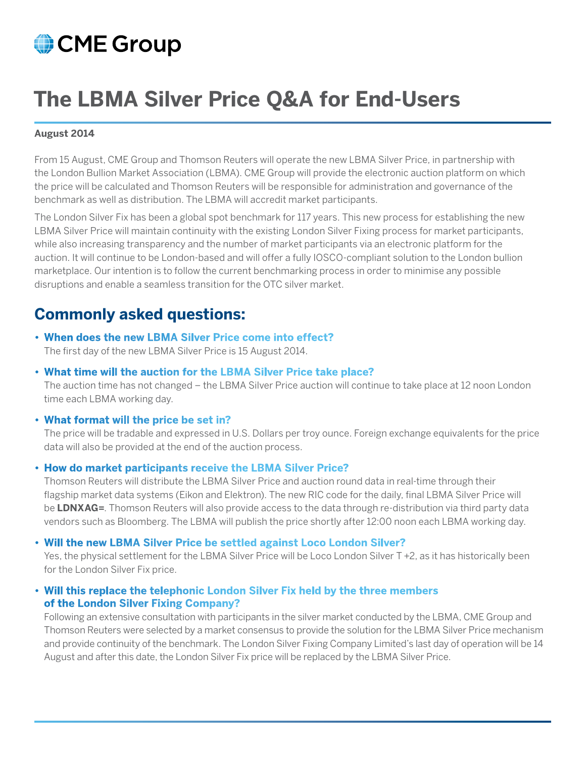# CME Group

# **The LBMA Silver Price Q&A for End-Users**

### **August 2014**

From 15 August, CME Group and Thomson Reuters will operate the new LBMA Silver Price, in partnership with the London Bullion Market Association (LBMA). CME Group will provide the electronic auction platform on which the price will be calculated and Thomson Reuters will be responsible for administration and governance of the benchmark as well as distribution. The LBMA will accredit market participants.

The London Silver Fix has been a global spot benchmark for 117 years. This new process for establishing the new LBMA Silver Price will maintain continuity with the existing London Silver Fixing process for market participants, while also increasing transparency and the number of market participants via an electronic platform for the auction. It will continue to be London-based and will offer a fully IOSCO-compliant solution to the London bullion marketplace. Our intention is to follow the current benchmarking process in order to minimise any possible disruptions and enable a seamless transition for the OTC silver market.

# **Commonly asked questions:**

- **• When does the new LBMA Silver Price come into effect?** The first day of the new LBMA Silver Price is 15 August 2014.
- **• What time will the auction for the LBMA Silver Price take place?**

The auction time has not changed – the LBMA Silver Price auction will continue to take place at 12 noon London time each LBMA working day.

**• What format will the price be set in?**

The price will be tradable and expressed in U.S. Dollars per troy ounce. Foreign exchange equivalents for the price data will also be provided at the end of the auction process.

# **• How do market participants receive the LBMA Silver Price?**

Thomson Reuters will distribute the LBMA Silver Price and auction round data in real-time through their flagship market data systems (Eikon and Elektron). The new RIC code for the daily, final LBMA Silver Price will be **LDNXAG=**. Thomson Reuters will also provide access to the data through re-distribution via third party data vendors such as Bloomberg. The LBMA will publish the price shortly after 12:00 noon each LBMA working day.

# **• Will the new LBMA Silver Price be settled against Loco London Silver?**

Yes, the physical settlement for the LBMA Silver Price will be Loco London Silver T +2, as it has historically been for the London Silver Fix price.

# **• Will this replace the telephonic London Silver Fix held by the three members of the London Silver Fixing Company?**

Following an extensive consultation with participants in the silver market conducted by the LBMA, CME Group and Thomson Reuters were selected by a market consensus to provide the solution for the LBMA Silver Price mechanism and provide continuity of the benchmark. The London Silver Fixing Company Limited's last day of operation will be 14 August and after this date, the London Silver Fix price will be replaced by the LBMA Silver Price.